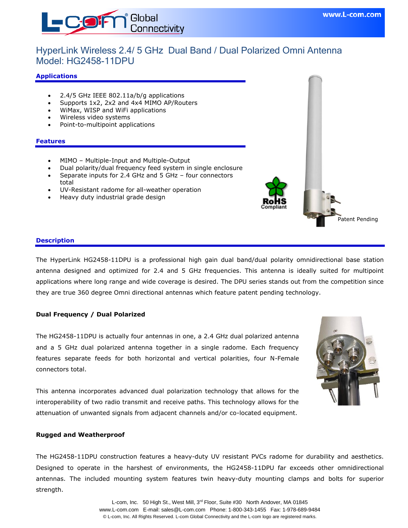

## HyperLink Wireless 2.4/ 5 GHz Dual Band / Dual Polarized Omni Antenna Model: HG2458-11DPU

#### **Applications**

- 2.4/5 GHz IEEE 802.11a/b/g applications
- Supports 1x2, 2x2 and 4x4 MIMO AP/Routers
- WiMax, WISP and WiFi applications
- Wireless video systems
- Point-to-multipoint applications

#### **Features**

- MIMO Multiple-Input and Multiple-Output
- Dual polarity/dual frequency feed system in single enclosure
- Separate inputs for 2.4 GHz and 5 GHz four connectors total
- UV-Resistant radome for all-weather operation
- Heavy duty industrial grade design



#### **Description**

The HyperLink HG2458-11DPU is a professional high gain dual band/dual polarity omnidirectional base station antenna designed and optimized for 2.4 and 5 GHz frequencies. This antenna is ideally suited for multipoint applications where long range and wide coverage is desired. The DPU series stands out from the competition since they are true 360 degree Omni directional antennas which feature patent pending technology.

#### **Dual Frequency / Dual Polarized**

The HG2458-11DPU is actually four antennas in one, a 2.4 GHz dual polarized antenna and a 5 GHz dual polarized antenna together in a single radome. Each frequency features separate feeds for both horizontal and vertical polarities, four N-Female connectors total.

This antenna incorporates advanced dual polarization technology that allows for the interoperability of two radio transmit and receive paths. This technology allows for the attenuation of unwanted signals from adjacent channels and/or co-located equipment.



#### **Rugged and Weatherproof**

The HG2458-11DPU construction features a heavy-duty UV resistant PVCs radome for durability and aesthetics. Designed to operate in the harshest of environments, the HG2458-11DPU far exceeds other omnidirectional antennas. The included mounting system features twin heavy-duty mounting clamps and bolts for superior strength.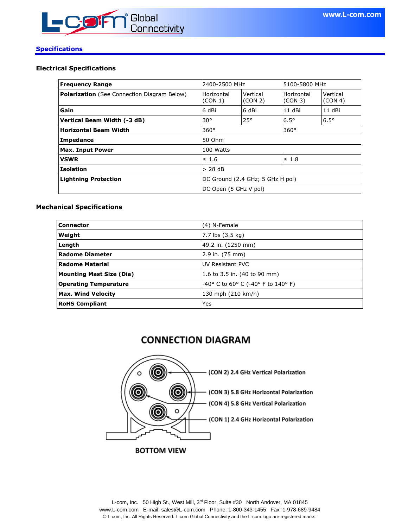

#### **Specifications**

#### **Electrical Specifications**

| <b>Frequency Range</b>                             | 2400-2500 MHz                    |                       | 5100-5800 MHz         |                     |
|----------------------------------------------------|----------------------------------|-----------------------|-----------------------|---------------------|
| <b>Polarization</b> (See Connection Diagram Below) | Horizontal<br>(CON 1)            | Vertical<br>(CON 2)   | Horizontal<br>(CON 3) | Vertical<br>(CON 4) |
| Gain                                               | 6 dBi                            | 6 dBi                 | 11 dBi                | 11 dBi              |
| Vertical Beam Width (-3 dB)                        | $30^\circ$                       | $25^{\circ}$          | $6.5^\circ$           | $6.5^\circ$         |
| <b>Horizontal Beam Width</b>                       | $360^\circ$<br>$360^\circ$       |                       |                       |                     |
| Impedance                                          | 50 Ohm                           |                       |                       |                     |
| <b>Max. Input Power</b>                            | 100 Watts                        |                       |                       |                     |
| <b>VSWR</b>                                        | $\leq 1.6$                       |                       | $\leq 1.8$            |                     |
| <b>Isolation</b>                                   | $> 28$ dB                        |                       |                       |                     |
| <b>Lightning Protection</b>                        | DC Ground (2.4 GHz; 5 GHz H pol) |                       |                       |                     |
|                                                    |                                  | DC Open (5 GHz V pol) |                       |                     |

#### **Mechanical Specifications**

| <b>Connector</b>                | (4) N-Female                                          |  |
|---------------------------------|-------------------------------------------------------|--|
| Weight                          | 7.7 lbs (3.5 kg)                                      |  |
| Length                          | 49.2 in. (1250 mm)                                    |  |
| <b>Radome Diameter</b>          | 2.9 in. (75 mm)                                       |  |
| <b>Radome Material</b>          | UV Resistant PVC                                      |  |
| <b>Mounting Mast Size (Dia)</b> | 1.6 to 3.5 in. (40 to 90 mm)                          |  |
| <b>Operating Temperature</b>    | $-40^{\circ}$ C to 60° C ( $-40^{\circ}$ F to 140° F) |  |
| <b>Max. Wind Velocity</b>       | 130 mph (210 km/h)                                    |  |
| <b>RoHS Compliant</b>           | Yes                                                   |  |

# **CONNECTION DIAGRAM**

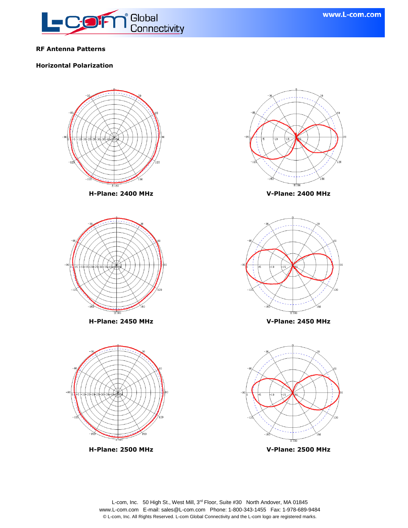

## **RF Antenna Patterns**

## **Horizontal Polarization**

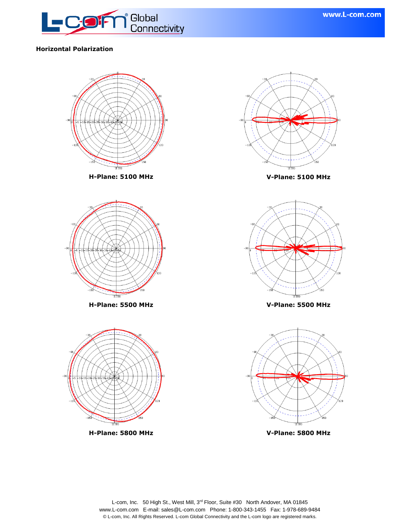

## **Horizontal Polarization**

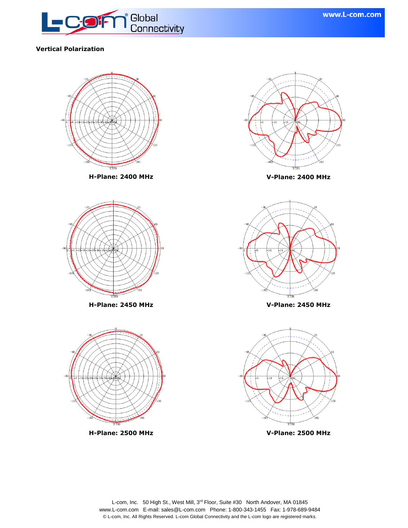

## **Vertical Polarization**